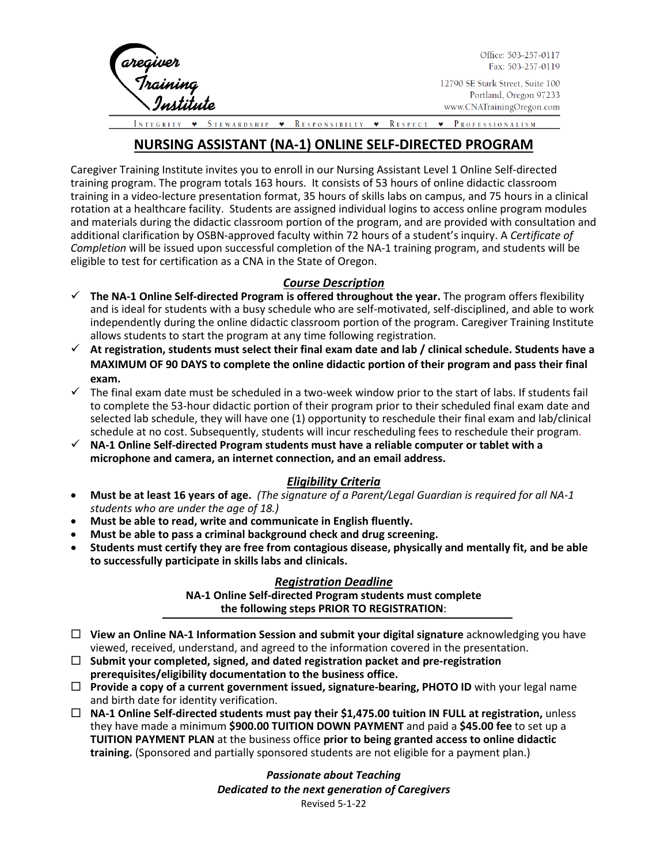

Office: 503-257-0117 Fax: 503-257-0119

12790 SE Stark Street, Suite 100 Portland, Oregon 97233 www.CNATrainingOregon.com

STEWARDSHIP • RESPONSIBILTY • RESPECT PROFESSIONALISM

# **NURSING ASSISTANT (NA-1) ONLINE SELF-DIRECTED PROGRAM**

Caregiver Training Institute invites you to enroll in our Nursing Assistant Level 1 Online Self-directed training program. The program totals 163 hours. It consists of 53 hours of online didactic classroom training in a video-lecture presentation format, 35 hours of skills labs on campus, and 75 hours in a clinical rotation at a healthcare facility. Students are assigned individual logins to access online program modules and materials during the didactic classroom portion of the program, and are provided with consultation and additional clarification by OSBN-approved faculty within 72 hours of a student's inquiry. A *Certificate of Completion* will be issued upon successful completion of the NA-1 training program, and students will be eligible to test for certification as a CNA in the State of Oregon.

## *Course Description*

- $\checkmark$  The NA-1 Online Self-directed Program is offered throughout the year. The program offers flexibility and is ideal for students with a busy schedule who are self-motivated, self-disciplined, and able to work independently during the online didactic classroom portion of the program. Caregiver Training Institute allows students to start the program at any time following registration.
- **At registration, students must select their final exam date and lab / clinical schedule. Students have a MAXIMUM OF 90 DAYS to complete the online didactic portion of their program and pass their final exam.**
- $\checkmark$  The final exam date must be scheduled in a two-week window prior to the start of labs. If students fail to complete the 53-hour didactic portion of their program prior to their scheduled final exam date and selected lab schedule, they will have one (1) opportunity to reschedule their final exam and lab/clinical schedule at no cost. Subsequently, students will incur rescheduling fees to reschedule their program.
- **NA-1 Online Self-directed Program students must have a reliable computer or tablet with a microphone and camera, an internet connection, and an email address.**

### *Eligibility Criteria*

- **Must be at least 16 years of age.** *(The signature of a Parent/Legal Guardian is required for all NA-1 students who are under the age of 18.)*
- **Must be able to read, write and communicate in English fluently.**
- **Must be able to pass a criminal background check and drug screening.**
- **Students must certify they are free from contagious disease, physically and mentally fit, and be able to successfully participate in skills labs and clinicals.**

#### *Registration Deadline* **NA-1 Online Self-directed Program students must complete the following steps PRIOR TO REGISTRATION**:

- **View an Online NA-1 Information Session and submit your digital signature** acknowledging you have viewed, received, understand, and agreed to the information covered in the presentation.
- **Submit your completed, signed, and dated registration packet and pre-registration prerequisites/eligibility documentation to the business office.**
- **Provide a copy of a current government issued, signature-bearing, PHOTO ID** with your legal name and birth date for identity verification.
- **NA-1 Online Self-directed students must pay their \$1,475.00 tuition IN FULL at registration,** unless they have made a minimum **\$900.00 TUITION DOWN PAYMENT** and paid a **\$45.00 fee** to set up a **TUITION PAYMENT PLAN** at the business office **prior to being granted access to online didactic training.** (Sponsored and partially sponsored students are not eligible for a payment plan.)

*Passionate about Teaching Dedicated to the next generation of Caregivers* Revised 5-1-22